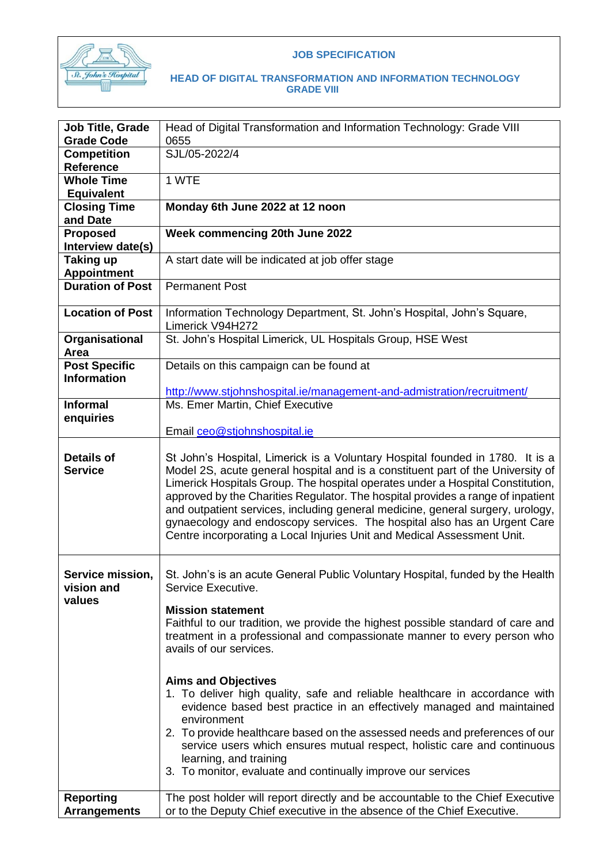

#### **JOB SPECIFICATION**

| Job Title, Grade<br><b>Grade Code</b>         | Head of Digital Transformation and Information Technology: Grade VIII                                                                                                                                                                                                                                                                                                                                                                                                                                                                                                                                                                                                                                                                                                                |  |  |
|-----------------------------------------------|--------------------------------------------------------------------------------------------------------------------------------------------------------------------------------------------------------------------------------------------------------------------------------------------------------------------------------------------------------------------------------------------------------------------------------------------------------------------------------------------------------------------------------------------------------------------------------------------------------------------------------------------------------------------------------------------------------------------------------------------------------------------------------------|--|--|
| Competition                                   | 0655<br>SJL/05-2022/4                                                                                                                                                                                                                                                                                                                                                                                                                                                                                                                                                                                                                                                                                                                                                                |  |  |
| <b>Reference</b>                              |                                                                                                                                                                                                                                                                                                                                                                                                                                                                                                                                                                                                                                                                                                                                                                                      |  |  |
| <b>Whole Time</b>                             | 1 WTE                                                                                                                                                                                                                                                                                                                                                                                                                                                                                                                                                                                                                                                                                                                                                                                |  |  |
| <b>Equivalent</b>                             |                                                                                                                                                                                                                                                                                                                                                                                                                                                                                                                                                                                                                                                                                                                                                                                      |  |  |
| <b>Closing Time</b>                           | Monday 6th June 2022 at 12 noon                                                                                                                                                                                                                                                                                                                                                                                                                                                                                                                                                                                                                                                                                                                                                      |  |  |
| and Date                                      |                                                                                                                                                                                                                                                                                                                                                                                                                                                                                                                                                                                                                                                                                                                                                                                      |  |  |
| <b>Proposed</b>                               | Week commencing 20th June 2022                                                                                                                                                                                                                                                                                                                                                                                                                                                                                                                                                                                                                                                                                                                                                       |  |  |
| Interview date(s)                             |                                                                                                                                                                                                                                                                                                                                                                                                                                                                                                                                                                                                                                                                                                                                                                                      |  |  |
| <b>Taking up</b>                              | A start date will be indicated at job offer stage                                                                                                                                                                                                                                                                                                                                                                                                                                                                                                                                                                                                                                                                                                                                    |  |  |
| <b>Appointment</b><br><b>Duration of Post</b> |                                                                                                                                                                                                                                                                                                                                                                                                                                                                                                                                                                                                                                                                                                                                                                                      |  |  |
|                                               | <b>Permanent Post</b>                                                                                                                                                                                                                                                                                                                                                                                                                                                                                                                                                                                                                                                                                                                                                                |  |  |
| <b>Location of Post</b>                       | Information Technology Department, St. John's Hospital, John's Square,<br>Limerick V94H272                                                                                                                                                                                                                                                                                                                                                                                                                                                                                                                                                                                                                                                                                           |  |  |
| Organisational<br>Area                        | St. John's Hospital Limerick, UL Hospitals Group, HSE West                                                                                                                                                                                                                                                                                                                                                                                                                                                                                                                                                                                                                                                                                                                           |  |  |
| <b>Post Specific</b>                          | Details on this campaign can be found at                                                                                                                                                                                                                                                                                                                                                                                                                                                                                                                                                                                                                                                                                                                                             |  |  |
| <b>Information</b>                            |                                                                                                                                                                                                                                                                                                                                                                                                                                                                                                                                                                                                                                                                                                                                                                                      |  |  |
|                                               | http://www.stjohnshospital.ie/management-and-admistration/recruitment/                                                                                                                                                                                                                                                                                                                                                                                                                                                                                                                                                                                                                                                                                                               |  |  |
| <b>Informal</b>                               | Ms. Emer Martin, Chief Executive                                                                                                                                                                                                                                                                                                                                                                                                                                                                                                                                                                                                                                                                                                                                                     |  |  |
| enquiries                                     |                                                                                                                                                                                                                                                                                                                                                                                                                                                                                                                                                                                                                                                                                                                                                                                      |  |  |
|                                               | Email ceo@stjohnshospital.ie                                                                                                                                                                                                                                                                                                                                                                                                                                                                                                                                                                                                                                                                                                                                                         |  |  |
| <b>Details of</b><br><b>Service</b>           | St John's Hospital, Limerick is a Voluntary Hospital founded in 1780. It is a<br>Model 2S, acute general hospital and is a constituent part of the University of<br>Limerick Hospitals Group. The hospital operates under a Hospital Constitution,<br>approved by the Charities Regulator. The hospital provides a range of inpatient<br>and outpatient services, including general medicine, general surgery, urology,<br>gynaecology and endoscopy services. The hospital also has an Urgent Care<br>Centre incorporating a Local Injuries Unit and Medical Assessment Unit.                                                                                                                                                                                                       |  |  |
| Service mission,<br>vision and<br>values      | St. John's is an acute General Public Voluntary Hospital, funded by the Health<br>Service Executive.<br><b>Mission statement</b><br>Faithful to our tradition, we provide the highest possible standard of care and<br>treatment in a professional and compassionate manner to every person who<br>avails of our services.<br><b>Aims and Objectives</b><br>1. To deliver high quality, safe and reliable healthcare in accordance with<br>evidence based best practice in an effectively managed and maintained<br>environment<br>2. To provide healthcare based on the assessed needs and preferences of our<br>service users which ensures mutual respect, holistic care and continuous<br>learning, and training<br>3. To monitor, evaluate and continually improve our services |  |  |
| <b>Reporting</b><br><b>Arrangements</b>       | The post holder will report directly and be accountable to the Chief Executive<br>or to the Deputy Chief executive in the absence of the Chief Executive.                                                                                                                                                                                                                                                                                                                                                                                                                                                                                                                                                                                                                            |  |  |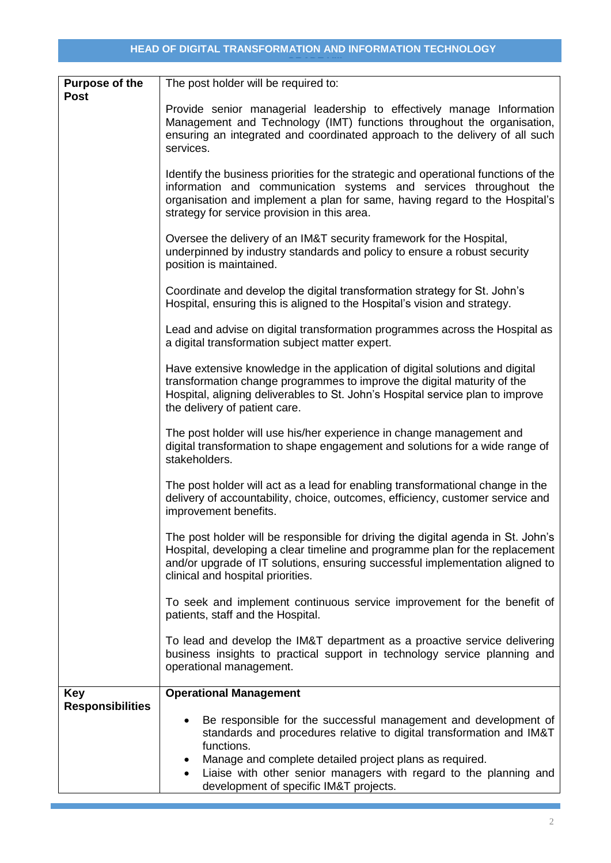| <b>Purpose of the</b><br><b>Post</b>  | The post holder will be required to:                                                                                                                                                                                                                                                    |  |  |  |
|---------------------------------------|-----------------------------------------------------------------------------------------------------------------------------------------------------------------------------------------------------------------------------------------------------------------------------------------|--|--|--|
|                                       | Provide senior managerial leadership to effectively manage Information<br>Management and Technology (IMT) functions throughout the organisation,<br>ensuring an integrated and coordinated approach to the delivery of all such<br>services.                                            |  |  |  |
|                                       | Identify the business priorities for the strategic and operational functions of the<br>information and communication systems and services throughout the<br>organisation and implement a plan for same, having regard to the Hospital's<br>strategy for service provision in this area. |  |  |  |
|                                       | Oversee the delivery of an IM&T security framework for the Hospital,<br>underpinned by industry standards and policy to ensure a robust security<br>position is maintained.                                                                                                             |  |  |  |
|                                       | Coordinate and develop the digital transformation strategy for St. John's<br>Hospital, ensuring this is aligned to the Hospital's vision and strategy.                                                                                                                                  |  |  |  |
|                                       | Lead and advise on digital transformation programmes across the Hospital as<br>a digital transformation subject matter expert.                                                                                                                                                          |  |  |  |
|                                       | Have extensive knowledge in the application of digital solutions and digital<br>transformation change programmes to improve the digital maturity of the<br>Hospital, aligning deliverables to St. John's Hospital service plan to improve<br>the delivery of patient care.              |  |  |  |
|                                       | The post holder will use his/her experience in change management and<br>digital transformation to shape engagement and solutions for a wide range of<br>stakeholders.                                                                                                                   |  |  |  |
|                                       | The post holder will act as a lead for enabling transformational change in the<br>delivery of accountability, choice, outcomes, efficiency, customer service and<br>improvement benefits.                                                                                               |  |  |  |
|                                       | The post holder will be responsible for driving the digital agenda in St. John's<br>Hospital, developing a clear timeline and programme plan for the replacement<br>and/or upgrade of IT solutions, ensuring successful implementation aligned to<br>clinical and hospital priorities.  |  |  |  |
|                                       | To seek and implement continuous service improvement for the benefit of<br>patients, staff and the Hospital.                                                                                                                                                                            |  |  |  |
|                                       | To lead and develop the IM&T department as a proactive service delivering<br>business insights to practical support in technology service planning and<br>operational management.                                                                                                       |  |  |  |
| <b>Key</b><br><b>Responsibilities</b> | <b>Operational Management</b>                                                                                                                                                                                                                                                           |  |  |  |
|                                       | Be responsible for the successful management and development of<br>standards and procedures relative to digital transformation and IM&T<br>functions.                                                                                                                                   |  |  |  |
|                                       | Manage and complete detailed project plans as required.<br>$\bullet$<br>Liaise with other senior managers with regard to the planning and<br>$\bullet$<br>development of specific IM&T projects.                                                                                        |  |  |  |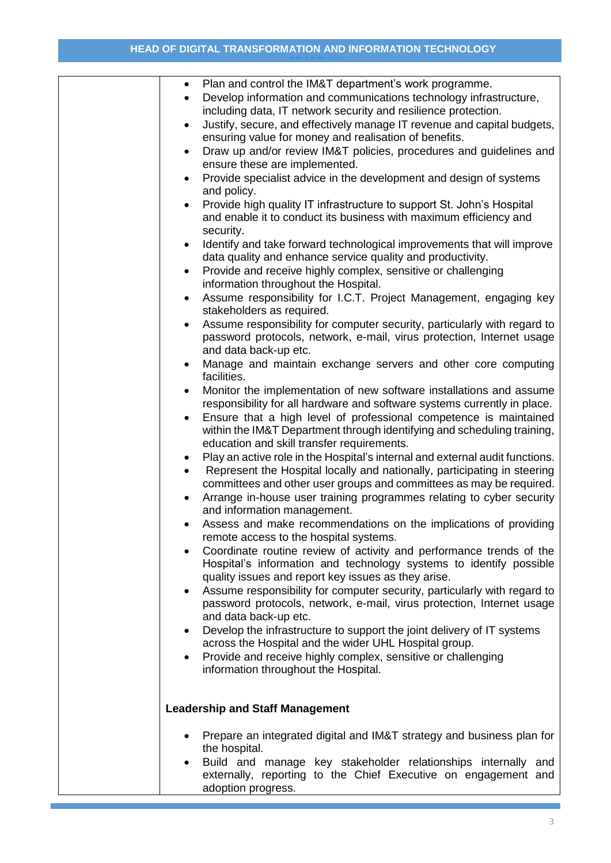| Plan and control the IM&T department's work programme.<br>$\bullet$<br>Develop information and communications technology infrastructure,<br>$\bullet$<br>including data, IT network security and resilience protection.<br>Justify, secure, and effectively manage IT revenue and capital budgets,<br>$\bullet$<br>ensuring value for money and realisation of benefits.<br>Draw up and/or review IM&T policies, procedures and guidelines and<br>$\bullet$<br>ensure these are implemented.<br>Provide specialist advice in the development and design of systems<br>$\bullet$<br>and policy.<br>Provide high quality IT infrastructure to support St. John's Hospital<br>$\bullet$<br>and enable it to conduct its business with maximum efficiency and |
|-----------------------------------------------------------------------------------------------------------------------------------------------------------------------------------------------------------------------------------------------------------------------------------------------------------------------------------------------------------------------------------------------------------------------------------------------------------------------------------------------------------------------------------------------------------------------------------------------------------------------------------------------------------------------------------------------------------------------------------------------------------|
| security.<br>Identify and take forward technological improvements that will improve<br>$\bullet$<br>data quality and enhance service quality and productivity.                                                                                                                                                                                                                                                                                                                                                                                                                                                                                                                                                                                            |
| Provide and receive highly complex, sensitive or challenging<br>$\bullet$<br>information throughout the Hospital.                                                                                                                                                                                                                                                                                                                                                                                                                                                                                                                                                                                                                                         |
| Assume responsibility for I.C.T. Project Management, engaging key<br>$\bullet$<br>stakeholders as required.                                                                                                                                                                                                                                                                                                                                                                                                                                                                                                                                                                                                                                               |
| Assume responsibility for computer security, particularly with regard to<br>$\bullet$<br>password protocols, network, e-mail, virus protection, Internet usage<br>and data back-up etc.                                                                                                                                                                                                                                                                                                                                                                                                                                                                                                                                                                   |
| Manage and maintain exchange servers and other core computing<br>facilities.                                                                                                                                                                                                                                                                                                                                                                                                                                                                                                                                                                                                                                                                              |
| Monitor the implementation of new software installations and assume<br>$\bullet$                                                                                                                                                                                                                                                                                                                                                                                                                                                                                                                                                                                                                                                                          |
| responsibility for all hardware and software systems currently in place.<br>Ensure that a high level of professional competence is maintained<br>$\bullet$                                                                                                                                                                                                                                                                                                                                                                                                                                                                                                                                                                                                |
| within the IM&T Department through identifying and scheduling training,<br>education and skill transfer requirements.                                                                                                                                                                                                                                                                                                                                                                                                                                                                                                                                                                                                                                     |
| Play an active role in the Hospital's internal and external audit functions.<br>$\bullet$<br>Represent the Hospital locally and nationally, participating in steering<br>$\bullet$<br>committees and other user groups and committees as may be required.                                                                                                                                                                                                                                                                                                                                                                                                                                                                                                 |
| Arrange in-house user training programmes relating to cyber security<br>and information management.                                                                                                                                                                                                                                                                                                                                                                                                                                                                                                                                                                                                                                                       |
| Assess and make recommendations on the implications of providing<br>remote access to the hospital systems.                                                                                                                                                                                                                                                                                                                                                                                                                                                                                                                                                                                                                                                |
| Coordinate routine review of activity and performance trends of the<br>Hospital's information and technology systems to identify possible<br>quality issues and report key issues as they arise.                                                                                                                                                                                                                                                                                                                                                                                                                                                                                                                                                          |
| Assume responsibility for computer security, particularly with regard to<br>password protocols, network, e-mail, virus protection, Internet usage<br>and data back-up etc.                                                                                                                                                                                                                                                                                                                                                                                                                                                                                                                                                                                |
| Develop the infrastructure to support the joint delivery of IT systems<br>$\bullet$<br>across the Hospital and the wider UHL Hospital group.                                                                                                                                                                                                                                                                                                                                                                                                                                                                                                                                                                                                              |
| Provide and receive highly complex, sensitive or challenging<br>$\bullet$                                                                                                                                                                                                                                                                                                                                                                                                                                                                                                                                                                                                                                                                                 |
| information throughout the Hospital.                                                                                                                                                                                                                                                                                                                                                                                                                                                                                                                                                                                                                                                                                                                      |
| <b>Leadership and Staff Management</b>                                                                                                                                                                                                                                                                                                                                                                                                                                                                                                                                                                                                                                                                                                                    |
| Prepare an integrated digital and IM&T strategy and business plan for                                                                                                                                                                                                                                                                                                                                                                                                                                                                                                                                                                                                                                                                                     |
| the hospital.<br>Build and manage key stakeholder relationships internally and<br>externally, reporting to the Chief Executive on engagement and<br>adoption progress.                                                                                                                                                                                                                                                                                                                                                                                                                                                                                                                                                                                    |
|                                                                                                                                                                                                                                                                                                                                                                                                                                                                                                                                                                                                                                                                                                                                                           |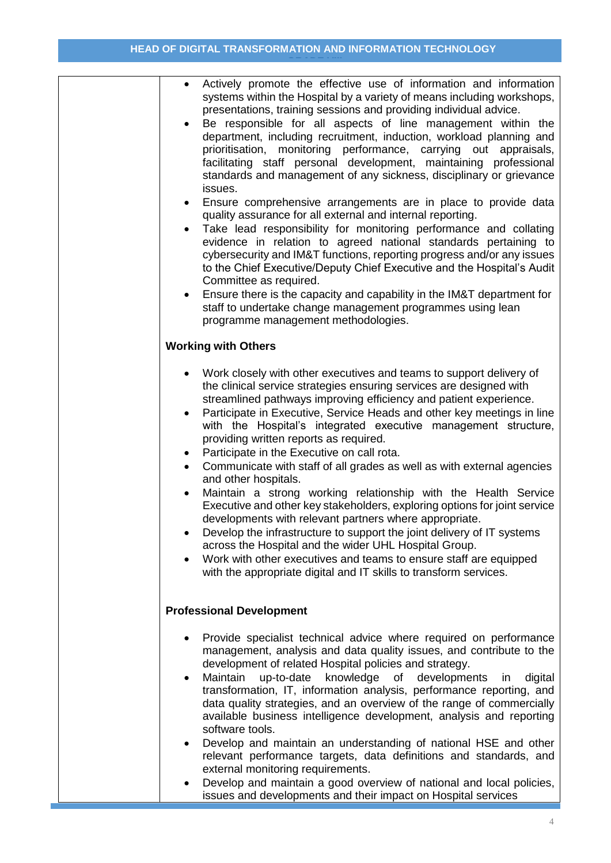| Actively promote the effective use of information and information<br>$\bullet$<br>systems within the Hospital by a variety of means including workshops,<br>presentations, training sessions and providing individual advice.<br>Be responsible for all aspects of line management within the<br>department, including recruitment, induction, workload planning and<br>prioritisation, monitoring performance, carrying out appraisals,<br>facilitating staff personal development, maintaining professional<br>standards and management of any sickness, disciplinary or grievance<br>issues.<br>Ensure comprehensive arrangements are in place to provide data<br>quality assurance for all external and internal reporting.<br>Take lead responsibility for monitoring performance and collating<br>evidence in relation to agreed national standards pertaining to<br>cybersecurity and IM&T functions, reporting progress and/or any issues<br>to the Chief Executive/Deputy Chief Executive and the Hospital's Audit<br>Committee as required.<br>Ensure there is the capacity and capability in the IM&T department for<br>staff to undertake change management programmes using lean<br>programme management methodologies. |
|--------------------------------------------------------------------------------------------------------------------------------------------------------------------------------------------------------------------------------------------------------------------------------------------------------------------------------------------------------------------------------------------------------------------------------------------------------------------------------------------------------------------------------------------------------------------------------------------------------------------------------------------------------------------------------------------------------------------------------------------------------------------------------------------------------------------------------------------------------------------------------------------------------------------------------------------------------------------------------------------------------------------------------------------------------------------------------------------------------------------------------------------------------------------------------------------------------------------------------------|
|                                                                                                                                                                                                                                                                                                                                                                                                                                                                                                                                                                                                                                                                                                                                                                                                                                                                                                                                                                                                                                                                                                                                                                                                                                      |
| <b>Working with Others</b>                                                                                                                                                                                                                                                                                                                                                                                                                                                                                                                                                                                                                                                                                                                                                                                                                                                                                                                                                                                                                                                                                                                                                                                                           |
| Work closely with other executives and teams to support delivery of<br>the clinical service strategies ensuring services are designed with<br>streamlined pathways improving efficiency and patient experience.<br>Participate in Executive, Service Heads and other key meetings in line<br>with the Hospital's integrated executive management structure,<br>providing written reports as required.<br>Participate in the Executive on call rota.<br>٠<br>Communicate with staff of all grades as well as with external agencies<br>$\bullet$<br>and other hospitals.<br>Maintain a strong working relationship with the Health Service<br>Executive and other key stakeholders, exploring options for joint service<br>developments with relevant partners where appropriate.<br>Develop the infrastructure to support the joint delivery of IT systems<br>across the Hospital and the wider UHL Hospital Group.<br>Work with other executives and teams to ensure staff are equipped<br>with the appropriate digital and IT skills to transform services.                                                                                                                                                                        |
| <b>Professional Development</b>                                                                                                                                                                                                                                                                                                                                                                                                                                                                                                                                                                                                                                                                                                                                                                                                                                                                                                                                                                                                                                                                                                                                                                                                      |
| Provide specialist technical advice where required on performance<br>management, analysis and data quality issues, and contribute to the<br>development of related Hospital policies and strategy.<br>Maintain<br>up-to-date<br>knowledge<br>of developments<br>digital<br>in<br>$\bullet$<br>transformation, IT, information analysis, performance reporting, and<br>data quality strategies, and an overview of the range of commercially<br>available business intelligence development, analysis and reporting<br>software tools.<br>Develop and maintain an understanding of national HSE and other<br>$\bullet$<br>relevant performance targets, data definitions and standards, and<br>external monitoring requirements.                                                                                                                                                                                                                                                                                                                                                                                                                                                                                                      |
| Develop and maintain a good overview of national and local policies,<br>$\bullet$<br>issues and developments and their impact on Hospital services                                                                                                                                                                                                                                                                                                                                                                                                                                                                                                                                                                                                                                                                                                                                                                                                                                                                                                                                                                                                                                                                                   |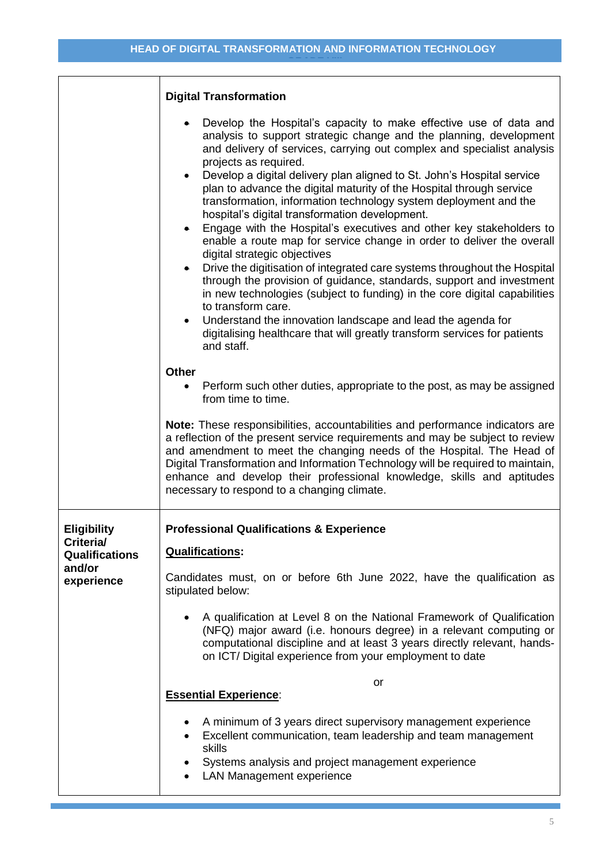|                                                                                  | <b>Digital Transformation</b><br>Develop the Hospital's capacity to make effective use of data and<br>analysis to support strategic change and the planning, development<br>and delivery of services, carrying out complex and specialist analysis<br>projects as required.<br>Develop a digital delivery plan aligned to St. John's Hospital service<br>plan to advance the digital maturity of the Hospital through service<br>transformation, information technology system deployment and the<br>hospital's digital transformation development.<br>Engage with the Hospital's executives and other key stakeholders to<br>enable a route map for service change in order to deliver the overall<br>digital strategic objectives<br>Drive the digitisation of integrated care systems throughout the Hospital<br>$\bullet$<br>through the provision of guidance, standards, support and investment<br>in new technologies (subject to funding) in the core digital capabilities<br>to transform care.<br>Understand the innovation landscape and lead the agenda for<br>digitalising healthcare that will greatly transform services for patients |  |  |
|----------------------------------------------------------------------------------|------------------------------------------------------------------------------------------------------------------------------------------------------------------------------------------------------------------------------------------------------------------------------------------------------------------------------------------------------------------------------------------------------------------------------------------------------------------------------------------------------------------------------------------------------------------------------------------------------------------------------------------------------------------------------------------------------------------------------------------------------------------------------------------------------------------------------------------------------------------------------------------------------------------------------------------------------------------------------------------------------------------------------------------------------------------------------------------------------------------------------------------------------|--|--|
|                                                                                  | and staff.<br><b>Other</b><br>Perform such other duties, appropriate to the post, as may be assigned<br>$\bullet$<br>from time to time.<br>Note: These responsibilities, accountabilities and performance indicators are<br>a reflection of the present service requirements and may be subject to review<br>and amendment to meet the changing needs of the Hospital. The Head of<br>Digital Transformation and Information Technology will be required to maintain,<br>enhance and develop their professional knowledge, skills and aptitudes<br>necessary to respond to a changing climate.                                                                                                                                                                                                                                                                                                                                                                                                                                                                                                                                                       |  |  |
| <b>Eligibility</b><br>Criteria/<br><b>Qualifications</b><br>and/or<br>experience | <b>Professional Qualifications &amp; Experience</b><br><b>Qualifications:</b><br>Candidates must, on or before 6th June 2022, have the qualification as<br>stipulated below:<br>A qualification at Level 8 on the National Framework of Qualification<br>(NFQ) major award (i.e. honours degree) in a relevant computing or<br>computational discipline and at least 3 years directly relevant, hands-<br>on ICT/ Digital experience from your employment to date                                                                                                                                                                                                                                                                                                                                                                                                                                                                                                                                                                                                                                                                                    |  |  |
|                                                                                  | or<br><b>Essential Experience:</b><br>A minimum of 3 years direct supervisory management experience<br>Excellent communication, team leadership and team management<br>$\bullet$<br>skills<br>Systems analysis and project management experience<br><b>LAN Management experience</b>                                                                                                                                                                                                                                                                                                                                                                                                                                                                                                                                                                                                                                                                                                                                                                                                                                                                 |  |  |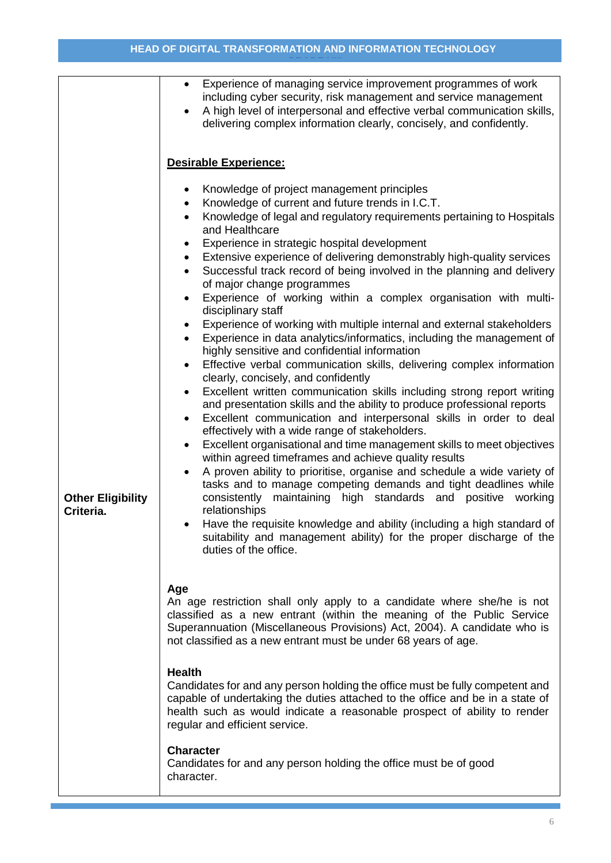|                                       | Experience of managing service improvement programmes of work<br>$\bullet$<br>including cyber security, risk management and service management<br>A high level of interpersonal and effective verbal communication skills,<br>delivering complex information clearly, concisely, and confidently.                                                                                                                                                                                                                                                                                                                                                                                                                                                                                                                                                                                                                                                                                                                                                                                                                                                                                                                                                                                                                                                                                                                                                                                                                                                                                                                                                                                                                                                                                        |  |  |
|---------------------------------------|------------------------------------------------------------------------------------------------------------------------------------------------------------------------------------------------------------------------------------------------------------------------------------------------------------------------------------------------------------------------------------------------------------------------------------------------------------------------------------------------------------------------------------------------------------------------------------------------------------------------------------------------------------------------------------------------------------------------------------------------------------------------------------------------------------------------------------------------------------------------------------------------------------------------------------------------------------------------------------------------------------------------------------------------------------------------------------------------------------------------------------------------------------------------------------------------------------------------------------------------------------------------------------------------------------------------------------------------------------------------------------------------------------------------------------------------------------------------------------------------------------------------------------------------------------------------------------------------------------------------------------------------------------------------------------------------------------------------------------------------------------------------------------------|--|--|
|                                       | Desirable Experience:                                                                                                                                                                                                                                                                                                                                                                                                                                                                                                                                                                                                                                                                                                                                                                                                                                                                                                                                                                                                                                                                                                                                                                                                                                                                                                                                                                                                                                                                                                                                                                                                                                                                                                                                                                    |  |  |
| <b>Other Eligibility</b><br>Criteria. | Knowledge of project management principles<br>٠<br>Knowledge of current and future trends in I.C.T.<br>$\bullet$<br>Knowledge of legal and regulatory requirements pertaining to Hospitals<br>and Healthcare<br>Experience in strategic hospital development<br>٠<br>Extensive experience of delivering demonstrably high-quality services<br>$\bullet$<br>Successful track record of being involved in the planning and delivery<br>$\bullet$<br>of major change programmes<br>Experience of working within a complex organisation with multi-<br>$\bullet$<br>disciplinary staff<br>Experience of working with multiple internal and external stakeholders<br>٠<br>Experience in data analytics/informatics, including the management of<br>$\bullet$<br>highly sensitive and confidential information<br>Effective verbal communication skills, delivering complex information<br>٠<br>clearly, concisely, and confidently<br>Excellent written communication skills including strong report writing<br>$\bullet$<br>and presentation skills and the ability to produce professional reports<br>Excellent communication and interpersonal skills in order to deal<br>٠<br>effectively with a wide range of stakeholders.<br>Excellent organisational and time management skills to meet objectives<br>٠<br>within agreed timeframes and achieve quality results<br>A proven ability to prioritise, organise and schedule a wide variety of<br>$\bullet$<br>tasks and to manage competing demands and tight deadlines while<br>consistently maintaining high standards and positive working<br>relationships<br>Have the requisite knowledge and ability (including a high standard of<br>suitability and management ability) for the proper discharge of the<br>duties of the office. |  |  |
|                                       | Age<br>An age restriction shall only apply to a candidate where she/he is not<br>classified as a new entrant (within the meaning of the Public Service<br>Superannuation (Miscellaneous Provisions) Act, 2004). A candidate who is<br>not classified as a new entrant must be under 68 years of age.                                                                                                                                                                                                                                                                                                                                                                                                                                                                                                                                                                                                                                                                                                                                                                                                                                                                                                                                                                                                                                                                                                                                                                                                                                                                                                                                                                                                                                                                                     |  |  |
|                                       | <b>Health</b><br>Candidates for and any person holding the office must be fully competent and<br>capable of undertaking the duties attached to the office and be in a state of<br>health such as would indicate a reasonable prospect of ability to render<br>regular and efficient service.                                                                                                                                                                                                                                                                                                                                                                                                                                                                                                                                                                                                                                                                                                                                                                                                                                                                                                                                                                                                                                                                                                                                                                                                                                                                                                                                                                                                                                                                                             |  |  |
|                                       | <b>Character</b><br>Candidates for and any person holding the office must be of good<br>character.                                                                                                                                                                                                                                                                                                                                                                                                                                                                                                                                                                                                                                                                                                                                                                                                                                                                                                                                                                                                                                                                                                                                                                                                                                                                                                                                                                                                                                                                                                                                                                                                                                                                                       |  |  |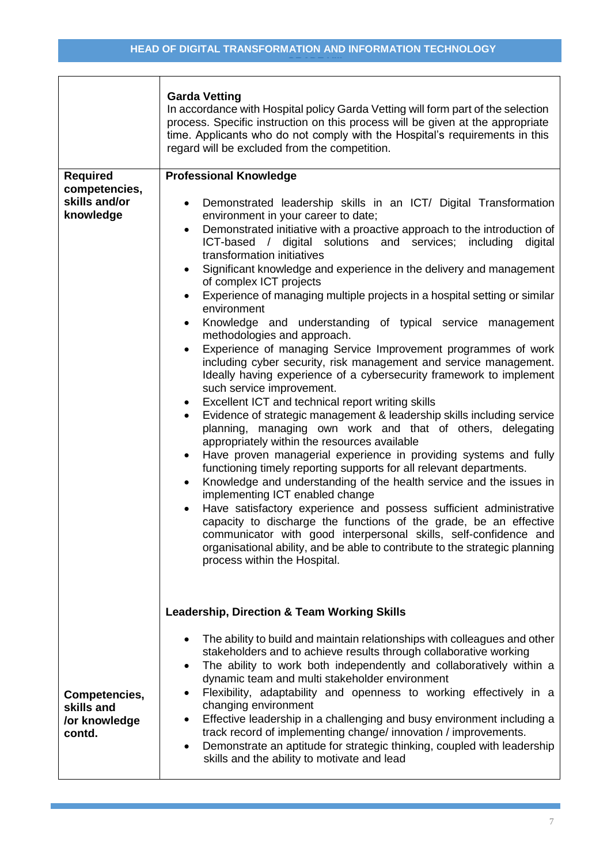**(I.C.T) GRADE VIIINOLOGY MANAGER (I.C.T)** 

|                                                                | <b>Garda Vetting</b><br>In accordance with Hospital policy Garda Vetting will form part of the selection<br>process. Specific instruction on this process will be given at the appropriate<br>time. Applicants who do not comply with the Hospital's requirements in this<br>regard will be excluded from the competition.                                                                                                                                                                                                                                                                                                                                                                                                                                                                                                                                                                                                                                                                                                                                                                                                                                                                                                                                                                                                                                                                                                                                                                                                                                                                                                                                                                                                                                  |
|----------------------------------------------------------------|-------------------------------------------------------------------------------------------------------------------------------------------------------------------------------------------------------------------------------------------------------------------------------------------------------------------------------------------------------------------------------------------------------------------------------------------------------------------------------------------------------------------------------------------------------------------------------------------------------------------------------------------------------------------------------------------------------------------------------------------------------------------------------------------------------------------------------------------------------------------------------------------------------------------------------------------------------------------------------------------------------------------------------------------------------------------------------------------------------------------------------------------------------------------------------------------------------------------------------------------------------------------------------------------------------------------------------------------------------------------------------------------------------------------------------------------------------------------------------------------------------------------------------------------------------------------------------------------------------------------------------------------------------------------------------------------------------------------------------------------------------------|
| <b>Required</b><br>competencies,<br>skills and/or<br>knowledge | <b>Professional Knowledge</b><br>Demonstrated leadership skills in an ICT/ Digital Transformation<br>environment in your career to date;<br>Demonstrated initiative with a proactive approach to the introduction of<br>$\bullet$<br>ICT-based / digital solutions and services;<br>including<br>digital<br>transformation initiatives<br>Significant knowledge and experience in the delivery and management<br>of complex ICT projects<br>Experience of managing multiple projects in a hospital setting or similar<br>٠<br>environment<br>Knowledge and understanding of typical service management<br>$\bullet$<br>methodologies and approach.<br>Experience of managing Service Improvement programmes of work<br>including cyber security, risk management and service management.<br>Ideally having experience of a cybersecurity framework to implement<br>such service improvement.<br>Excellent ICT and technical report writing skills<br>$\bullet$<br>Evidence of strategic management & leadership skills including service<br>planning, managing own work and that of others, delegating<br>appropriately within the resources available<br>Have proven managerial experience in providing systems and fully<br>٠<br>functioning timely reporting supports for all relevant departments.<br>Knowledge and understanding of the health service and the issues in<br>$\bullet$<br>implementing ICT enabled change<br>Have satisfactory experience and possess sufficient administrative<br>capacity to discharge the functions of the grade, be an effective<br>communicator with good interpersonal skills, self-confidence and<br>organisational ability, and be able to contribute to the strategic planning<br>process within the Hospital. |
| Competencies,<br>skills and<br>/or knowledge<br>contd.         | <b>Leadership, Direction &amp; Team Working Skills</b><br>The ability to build and maintain relationships with colleagues and other<br>stakeholders and to achieve results through collaborative working<br>The ability to work both independently and collaboratively within a<br>$\bullet$<br>dynamic team and multi stakeholder environment<br>Flexibility, adaptability and openness to working effectively in a<br>changing environment<br>Effective leadership in a challenging and busy environment including a<br>track record of implementing change/innovation / improvements.<br>Demonstrate an aptitude for strategic thinking, coupled with leadership<br>skills and the ability to motivate and lead                                                                                                                                                                                                                                                                                                                                                                                                                                                                                                                                                                                                                                                                                                                                                                                                                                                                                                                                                                                                                                          |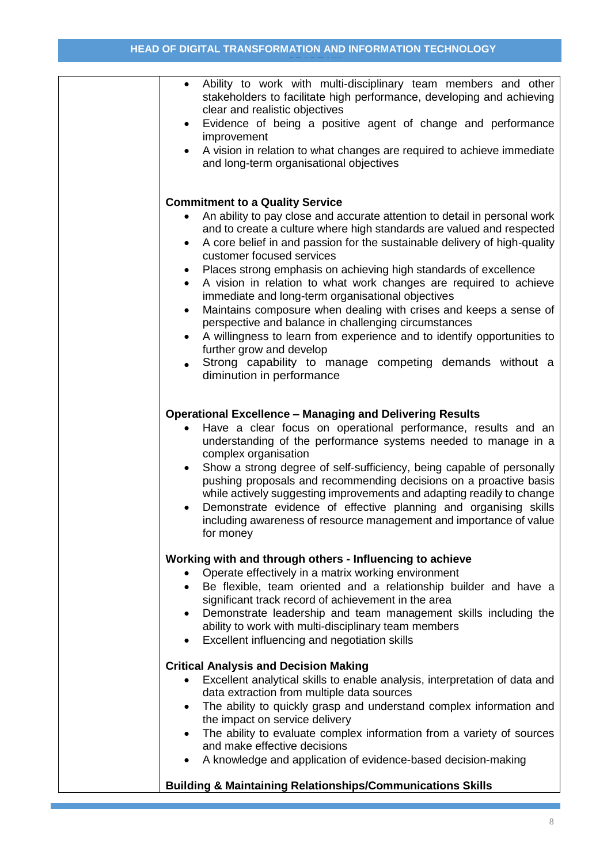| Ability to work with multi-disciplinary team members and other<br>$\bullet$<br>stakeholders to facilitate high performance, developing and achieving<br>clear and realistic objectives<br>Evidence of being a positive agent of change and performance<br>improvement<br>A vision in relation to what changes are required to achieve immediate<br>$\bullet$<br>and long-term organisational objectives                                                                                                                                                                                                                                                                                                                                                                                                                                                              |
|----------------------------------------------------------------------------------------------------------------------------------------------------------------------------------------------------------------------------------------------------------------------------------------------------------------------------------------------------------------------------------------------------------------------------------------------------------------------------------------------------------------------------------------------------------------------------------------------------------------------------------------------------------------------------------------------------------------------------------------------------------------------------------------------------------------------------------------------------------------------|
| <b>Commitment to a Quality Service</b><br>An ability to pay close and accurate attention to detail in personal work<br>and to create a culture where high standards are valued and respected<br>A core belief in and passion for the sustainable delivery of high-quality<br>٠<br>customer focused services<br>Places strong emphasis on achieving high standards of excellence<br>٠<br>A vision in relation to what work changes are required to achieve<br>$\bullet$<br>immediate and long-term organisational objectives<br>Maintains composure when dealing with crises and keeps a sense of<br>$\bullet$<br>perspective and balance in challenging circumstances<br>A willingness to learn from experience and to identify opportunities to<br>further grow and develop<br>Strong capability to manage competing demands without a<br>diminution in performance |
| <b>Operational Excellence - Managing and Delivering Results</b><br>Have a clear focus on operational performance, results and an<br>$\bullet$<br>understanding of the performance systems needed to manage in a<br>complex organisation<br>Show a strong degree of self-sufficiency, being capable of personally<br>$\bullet$<br>pushing proposals and recommending decisions on a proactive basis<br>while actively suggesting improvements and adapting readily to change<br>Demonstrate evidence of effective planning and organising skills<br>including awareness of resource management and importance of value<br>for money                                                                                                                                                                                                                                   |
| Working with and through others - Influencing to achieve<br>Operate effectively in a matrix working environment<br>Be flexible, team oriented and a relationship builder and have a<br>$\bullet$<br>significant track record of achievement in the area<br>Demonstrate leadership and team management skills including the<br>$\bullet$<br>ability to work with multi-disciplinary team members<br>Excellent influencing and negotiation skills                                                                                                                                                                                                                                                                                                                                                                                                                      |
| <b>Critical Analysis and Decision Making</b><br>Excellent analytical skills to enable analysis, interpretation of data and<br>٠<br>data extraction from multiple data sources<br>The ability to quickly grasp and understand complex information and<br>$\bullet$<br>the impact on service delivery<br>The ability to evaluate complex information from a variety of sources<br>and make effective decisions<br>A knowledge and application of evidence-based decision-making                                                                                                                                                                                                                                                                                                                                                                                        |
| <b>Building &amp; Maintaining Relationships/Communications Skills</b>                                                                                                                                                                                                                                                                                                                                                                                                                                                                                                                                                                                                                                                                                                                                                                                                |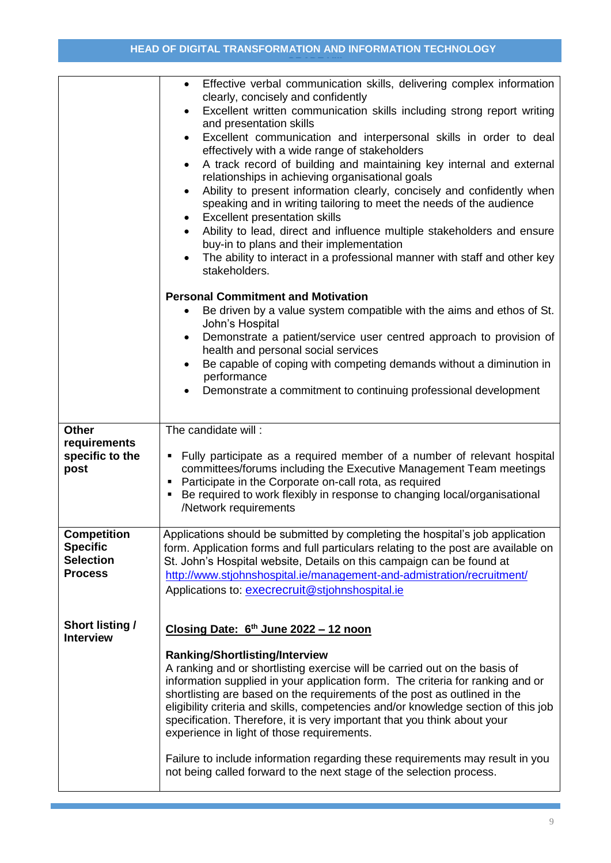|                                            | Effective verbal communication skills, delivering complex information<br>$\bullet$<br>clearly, concisely and confidently                                                                                |  |  |  |
|--------------------------------------------|---------------------------------------------------------------------------------------------------------------------------------------------------------------------------------------------------------|--|--|--|
|                                            | Excellent written communication skills including strong report writing<br>and presentation skills                                                                                                       |  |  |  |
|                                            | Excellent communication and interpersonal skills in order to deal<br>$\bullet$                                                                                                                          |  |  |  |
|                                            | effectively with a wide range of stakeholders<br>A track record of building and maintaining key internal and external<br>$\bullet$                                                                      |  |  |  |
|                                            | relationships in achieving organisational goals                                                                                                                                                         |  |  |  |
|                                            | Ability to present information clearly, concisely and confidently when<br>$\bullet$<br>speaking and in writing tailoring to meet the needs of the audience<br><b>Excellent presentation skills</b><br>٠ |  |  |  |
|                                            | Ability to lead, direct and influence multiple stakeholders and ensure<br>$\bullet$                                                                                                                     |  |  |  |
|                                            | buy-in to plans and their implementation<br>The ability to interact in a professional manner with staff and other key                                                                                   |  |  |  |
|                                            | stakeholders.                                                                                                                                                                                           |  |  |  |
|                                            | <b>Personal Commitment and Motivation</b>                                                                                                                                                               |  |  |  |
|                                            | Be driven by a value system compatible with the aims and ethos of St.                                                                                                                                   |  |  |  |
|                                            | John's Hospital<br>Demonstrate a patient/service user centred approach to provision of<br>$\bullet$<br>health and personal social services                                                              |  |  |  |
|                                            | Be capable of coping with competing demands without a diminution in                                                                                                                                     |  |  |  |
|                                            | performance<br>Demonstrate a commitment to continuing professional development                                                                                                                          |  |  |  |
|                                            |                                                                                                                                                                                                         |  |  |  |
| <b>Other</b>                               | The candidate will:                                                                                                                                                                                     |  |  |  |
| requirements<br>specific to the            | Fully participate as a required member of a number of relevant hospital<br>п                                                                                                                            |  |  |  |
| post                                       | committees/forums including the Executive Management Team meetings                                                                                                                                      |  |  |  |
|                                            | Participate in the Corporate on-call rota, as required<br>Be required to work flexibly in response to changing local/organisational<br>П                                                                |  |  |  |
|                                            | /Network requirements                                                                                                                                                                                   |  |  |  |
| <b>Competition</b>                         | Applications should be submitted by completing the hospital's job application                                                                                                                           |  |  |  |
| <b>Specific</b><br><b>Selection</b>        | form. Application forms and full particulars relating to the post are available on<br>St. John's Hospital website, Details on this campaign can be found at                                             |  |  |  |
| <b>Process</b>                             | http://www.stjohnshospital.ie/management-and-admistration/recruitment/                                                                                                                                  |  |  |  |
|                                            | Applications to: execrecruit@stjohnshospital.ie                                                                                                                                                         |  |  |  |
|                                            |                                                                                                                                                                                                         |  |  |  |
| <b>Short listing /</b><br><b>Interview</b> | Closing Date: 6 <sup>th</sup> June 2022 - 12 noon                                                                                                                                                       |  |  |  |
|                                            | <b>Ranking/Shortlisting/Interview</b>                                                                                                                                                                   |  |  |  |
|                                            | A ranking and or shortlisting exercise will be carried out on the basis of<br>information supplied in your application form. The criteria for ranking and or                                            |  |  |  |
|                                            | shortlisting are based on the requirements of the post as outlined in the<br>eligibility criteria and skills, competencies and/or knowledge section of this job                                         |  |  |  |
|                                            | specification. Therefore, it is very important that you think about your<br>experience in light of those requirements.                                                                                  |  |  |  |
|                                            |                                                                                                                                                                                                         |  |  |  |
|                                            | Failure to include information regarding these requirements may result in you<br>not being called forward to the next stage of the selection process.                                                   |  |  |  |
|                                            |                                                                                                                                                                                                         |  |  |  |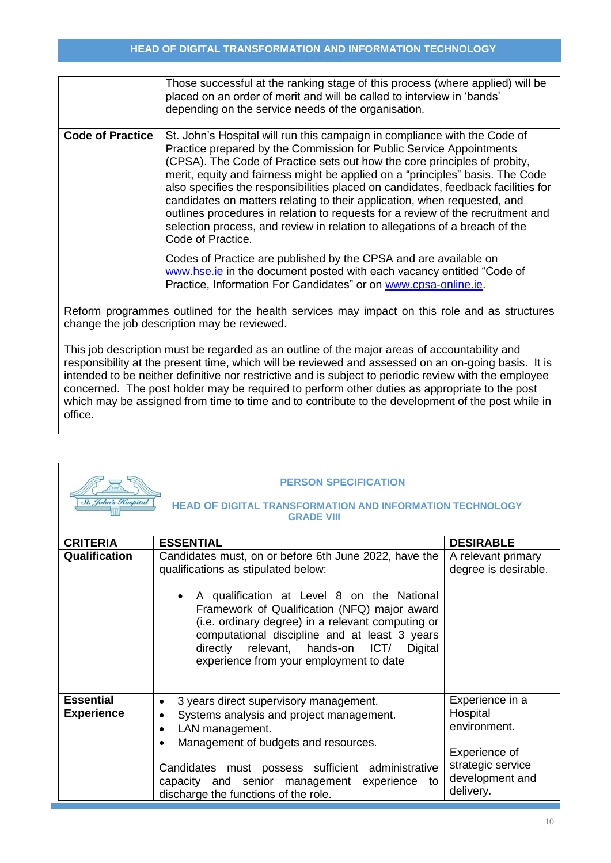|                         | Those successful at the ranking stage of this process (where applied) will be<br>placed on an order of merit and will be called to interview in 'bands'<br>depending on the service needs of the organisation.                                                                                                                                                                                                                                                                                                                                                                                                                                                                                                                             |
|-------------------------|--------------------------------------------------------------------------------------------------------------------------------------------------------------------------------------------------------------------------------------------------------------------------------------------------------------------------------------------------------------------------------------------------------------------------------------------------------------------------------------------------------------------------------------------------------------------------------------------------------------------------------------------------------------------------------------------------------------------------------------------|
| <b>Code of Practice</b> | St. John's Hospital will run this campaign in compliance with the Code of<br>Practice prepared by the Commission for Public Service Appointments<br>(CPSA). The Code of Practice sets out how the core principles of probity,<br>merit, equity and fairness might be applied on a "principles" basis. The Code<br>also specifies the responsibilities placed on candidates, feedback facilities for<br>candidates on matters relating to their application, when requested, and<br>outlines procedures in relation to requests for a review of the recruitment and<br>selection process, and review in relation to allegations of a breach of the<br>Code of Practice.<br>Codes of Practice are published by the CPSA and are available on |
|                         | www.hse.ie in the document posted with each vacancy entitled "Code of<br>Practice, Information For Candidates" or on www.cpsa-online.ie.                                                                                                                                                                                                                                                                                                                                                                                                                                                                                                                                                                                                   |

Reform programmes outlined for the health services may impact on this role and as structures change the job description may be reviewed.

This job description must be regarded as an outline of the major areas of accountability and responsibility at the present time, which will be reviewed and assessed on an on-going basis. It is intended to be neither definitive nor restrictive and is subject to periodic review with the employee concerned. The post holder may be required to perform other duties as appropriate to the post which may be assigned from time to time and to contribute to the development of the post while in office.

| <b>PERSON SPECIFICATION</b><br>St. John's Hospital<br><b>HEAD OF DIGITAL TRANSFORMATION AND INFORMATION TECHNOLOGY</b><br><b>GRADE VIII</b> |                                                                                                                                                                                                                                                                                                                                                                                               |                                                                                                                   |  |
|---------------------------------------------------------------------------------------------------------------------------------------------|-----------------------------------------------------------------------------------------------------------------------------------------------------------------------------------------------------------------------------------------------------------------------------------------------------------------------------------------------------------------------------------------------|-------------------------------------------------------------------------------------------------------------------|--|
| <b>CRITERIA</b>                                                                                                                             | <b>ESSENTIAL</b>                                                                                                                                                                                                                                                                                                                                                                              | <b>DESIRABLE</b>                                                                                                  |  |
| Qualification                                                                                                                               | Candidates must, on or before 6th June 2022, have the<br>qualifications as stipulated below:<br>A qualification at Level 8 on the National<br>Framework of Qualification (NFQ) major award<br>(i.e. ordinary degree) in a relevant computing or<br>computational discipline and at least 3 years<br>directly relevant, hands-on<br>ICT/<br>Digital<br>experience from your employment to date | A relevant primary<br>degree is desirable.                                                                        |  |
| <b>Essential</b><br><b>Experience</b>                                                                                                       | 3 years direct supervisory management.<br>$\bullet$<br>Systems analysis and project management.<br>LAN management.<br>Management of budgets and resources.<br>Candidates must possess sufficient administrative<br>capacity and senior management experience to<br>discharge the functions of the role.                                                                                       | Experience in a<br>Hospital<br>environment.<br>Experience of<br>strategic service<br>development and<br>delivery. |  |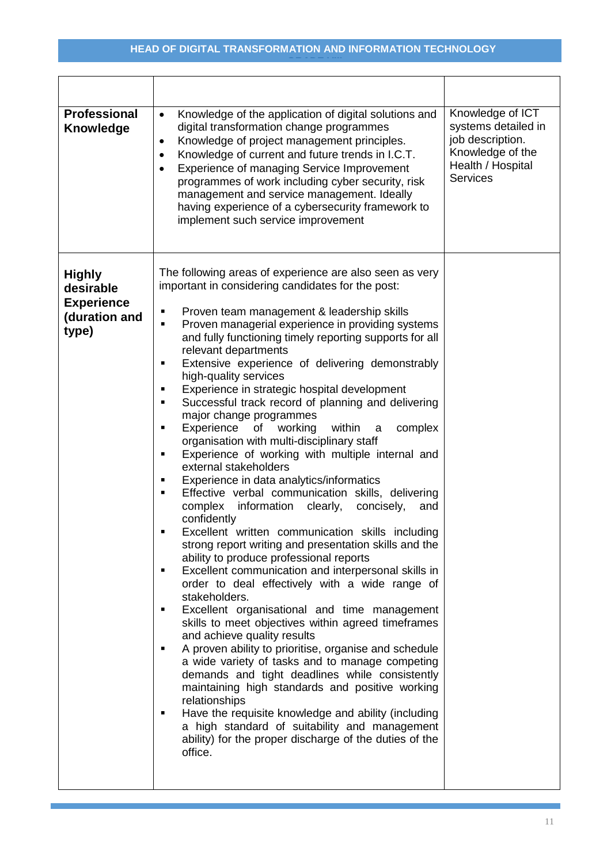| <b>Professional</b><br><b>Knowledge</b>                                   | Knowledge of the application of digital solutions and<br>$\bullet$<br>digital transformation change programmes<br>Knowledge of project management principles.<br>$\bullet$<br>Knowledge of current and future trends in I.C.T.<br>$\bullet$<br>Experience of managing Service Improvement<br>programmes of work including cyber security, risk<br>management and service management. Ideally<br>having experience of a cybersecurity framework to<br>implement such service improvement                                                                                                                                                                                                                                                                                                                                                                                                                                                                                                                                                                                                                                                                                                                                                                                                                                                                                                                                                                                                                                                                                                                                                                                                                                                                                                                                                                             | Knowledge of ICT<br>systems detailed in<br>job description.<br>Knowledge of the<br>Health / Hospital<br><b>Services</b> |
|---------------------------------------------------------------------------|---------------------------------------------------------------------------------------------------------------------------------------------------------------------------------------------------------------------------------------------------------------------------------------------------------------------------------------------------------------------------------------------------------------------------------------------------------------------------------------------------------------------------------------------------------------------------------------------------------------------------------------------------------------------------------------------------------------------------------------------------------------------------------------------------------------------------------------------------------------------------------------------------------------------------------------------------------------------------------------------------------------------------------------------------------------------------------------------------------------------------------------------------------------------------------------------------------------------------------------------------------------------------------------------------------------------------------------------------------------------------------------------------------------------------------------------------------------------------------------------------------------------------------------------------------------------------------------------------------------------------------------------------------------------------------------------------------------------------------------------------------------------------------------------------------------------------------------------------------------------|-------------------------------------------------------------------------------------------------------------------------|
| <b>Highly</b><br>desirable<br><b>Experience</b><br>(duration and<br>type) | The following areas of experience are also seen as very<br>important in considering candidates for the post:<br>Proven team management & leadership skills<br>٠<br>Proven managerial experience in providing systems<br>$\blacksquare$<br>and fully functioning timely reporting supports for all<br>relevant departments<br>Extensive experience of delivering demonstrably<br>٠<br>high-quality services<br>Experience in strategic hospital development<br>п<br>Successful track record of planning and delivering<br>٠<br>major change programmes<br>Experience<br>of<br>working<br>within<br>complex<br>$\blacksquare$<br>a<br>organisation with multi-disciplinary staff<br>Experience of working with multiple internal and<br>٠<br>external stakeholders<br>Experience in data analytics/informatics<br>٠<br>Effective verbal communication skills, delivering<br>$\blacksquare$<br>complex<br>information<br>clearly,<br>concisely,<br>and<br>confidently<br>Excellent written communication skills including<br>strong report writing and presentation skills and the<br>ability to produce professional reports<br>Excellent communication and interpersonal skills in<br>$\blacksquare$<br>order to deal effectively with a wide range of<br>stakeholders.<br>Excellent organisational and time management<br>$\blacksquare$<br>skills to meet objectives within agreed timeframes<br>and achieve quality results<br>A proven ability to prioritise, organise and schedule<br>$\blacksquare$<br>a wide variety of tasks and to manage competing<br>demands and tight deadlines while consistently<br>maintaining high standards and positive working<br>relationships<br>Have the requisite knowledge and ability (including<br>٠<br>a high standard of suitability and management<br>ability) for the proper discharge of the duties of the<br>office. |                                                                                                                         |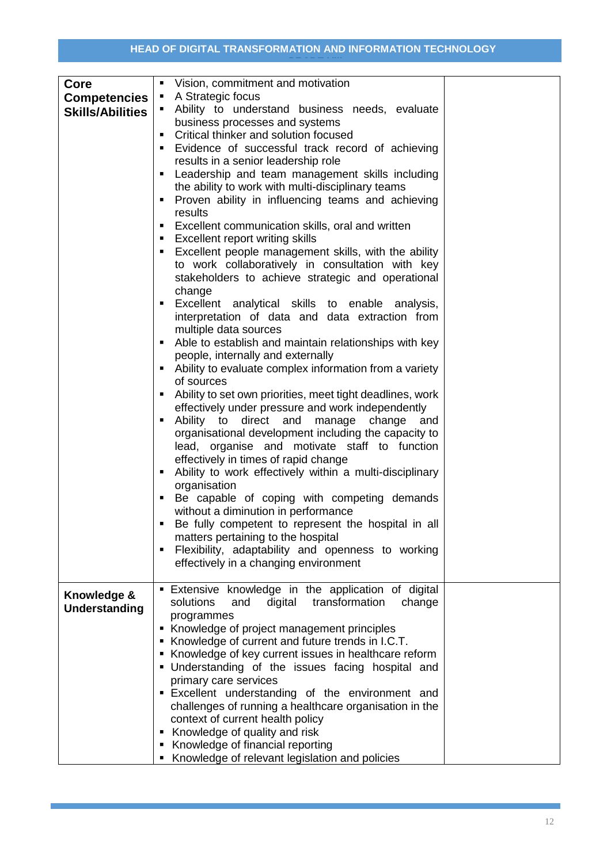| Core<br><b>Competencies</b><br><b>Skills/Abilities</b> | Vision, commitment and motivation<br>$\blacksquare$<br>A Strategic focus<br>٠<br>Ability to understand business needs, evaluate<br>business processes and systems<br>Critical thinker and solution focused<br>$\blacksquare$<br>Evidence of successful track record of achieving<br>$\blacksquare$<br>results in a senior leadership role<br>Leadership and team management skills including<br>٠<br>the ability to work with multi-disciplinary teams<br>Proven ability in influencing teams and achieving<br>٠<br>results<br>Excellent communication skills, oral and written<br>٠<br><b>Excellent report writing skills</b><br>٠<br>Excellent people management skills, with the ability<br>٠<br>to work collaboratively in consultation with key<br>stakeholders to achieve strategic and operational<br>change<br>Excellent analytical skills to enable analysis,<br>٠<br>interpretation of data and data extraction from<br>multiple data sources<br>Able to establish and maintain relationships with key<br>$\blacksquare$<br>people, internally and externally<br>Ability to evaluate complex information from a variety<br>٠<br>of sources<br>Ability to set own priorities, meet tight deadlines, work<br>effectively under pressure and work independently<br>Ability to direct and<br>manage<br>change<br>٠<br>and<br>organisational development including the capacity to<br>lead, organise and motivate staff to function<br>effectively in times of rapid change<br>Ability to work effectively within a multi-disciplinary<br>٠<br>organisation<br>Be capable of coping with competing demands<br>٠<br>without a diminution in performance<br>Be fully competent to represent the hospital in all<br>$\blacksquare$<br>matters pertaining to the hospital<br>Flexibility, adaptability and openness to working<br>٠<br>effectively in a changing environment |  |
|--------------------------------------------------------|-------------------------------------------------------------------------------------------------------------------------------------------------------------------------------------------------------------------------------------------------------------------------------------------------------------------------------------------------------------------------------------------------------------------------------------------------------------------------------------------------------------------------------------------------------------------------------------------------------------------------------------------------------------------------------------------------------------------------------------------------------------------------------------------------------------------------------------------------------------------------------------------------------------------------------------------------------------------------------------------------------------------------------------------------------------------------------------------------------------------------------------------------------------------------------------------------------------------------------------------------------------------------------------------------------------------------------------------------------------------------------------------------------------------------------------------------------------------------------------------------------------------------------------------------------------------------------------------------------------------------------------------------------------------------------------------------------------------------------------------------------------------------------------------------------------------------------------------------------------------------------|--|
| Knowledge &                                            | Extensive knowledge in the application of digital<br>solutions<br>digital transformation<br>and<br>change                                                                                                                                                                                                                                                                                                                                                                                                                                                                                                                                                                                                                                                                                                                                                                                                                                                                                                                                                                                                                                                                                                                                                                                                                                                                                                                                                                                                                                                                                                                                                                                                                                                                                                                                                                     |  |
| <b>Understanding</b>                                   | programmes<br>Knowledge of project management principles                                                                                                                                                                                                                                                                                                                                                                                                                                                                                                                                                                                                                                                                                                                                                                                                                                                                                                                                                                                                                                                                                                                                                                                                                                                                                                                                                                                                                                                                                                                                                                                                                                                                                                                                                                                                                      |  |
|                                                        | Knowledge of current and future trends in I.C.T.                                                                                                                                                                                                                                                                                                                                                                                                                                                                                                                                                                                                                                                                                                                                                                                                                                                                                                                                                                                                                                                                                                                                                                                                                                                                                                                                                                                                                                                                                                                                                                                                                                                                                                                                                                                                                              |  |
|                                                        | • Knowledge of key current issues in healthcare reform<br>. Understanding of the issues facing hospital and                                                                                                                                                                                                                                                                                                                                                                                                                                                                                                                                                                                                                                                                                                                                                                                                                                                                                                                                                                                                                                                                                                                                                                                                                                                                                                                                                                                                                                                                                                                                                                                                                                                                                                                                                                   |  |
|                                                        | primary care services<br>Excellent understanding of the environment and                                                                                                                                                                                                                                                                                                                                                                                                                                                                                                                                                                                                                                                                                                                                                                                                                                                                                                                                                                                                                                                                                                                                                                                                                                                                                                                                                                                                                                                                                                                                                                                                                                                                                                                                                                                                       |  |
|                                                        | challenges of running a healthcare organisation in the<br>context of current health policy                                                                                                                                                                                                                                                                                                                                                                                                                                                                                                                                                                                                                                                                                                                                                                                                                                                                                                                                                                                                                                                                                                                                                                                                                                                                                                                                                                                                                                                                                                                                                                                                                                                                                                                                                                                    |  |
|                                                        | Knowledge of quality and risk                                                                                                                                                                                                                                                                                                                                                                                                                                                                                                                                                                                                                                                                                                                                                                                                                                                                                                                                                                                                                                                                                                                                                                                                                                                                                                                                                                                                                                                                                                                                                                                                                                                                                                                                                                                                                                                 |  |
|                                                        | Knowledge of financial reporting<br>Knowledge of relevant legislation and policies                                                                                                                                                                                                                                                                                                                                                                                                                                                                                                                                                                                                                                                                                                                                                                                                                                                                                                                                                                                                                                                                                                                                                                                                                                                                                                                                                                                                                                                                                                                                                                                                                                                                                                                                                                                            |  |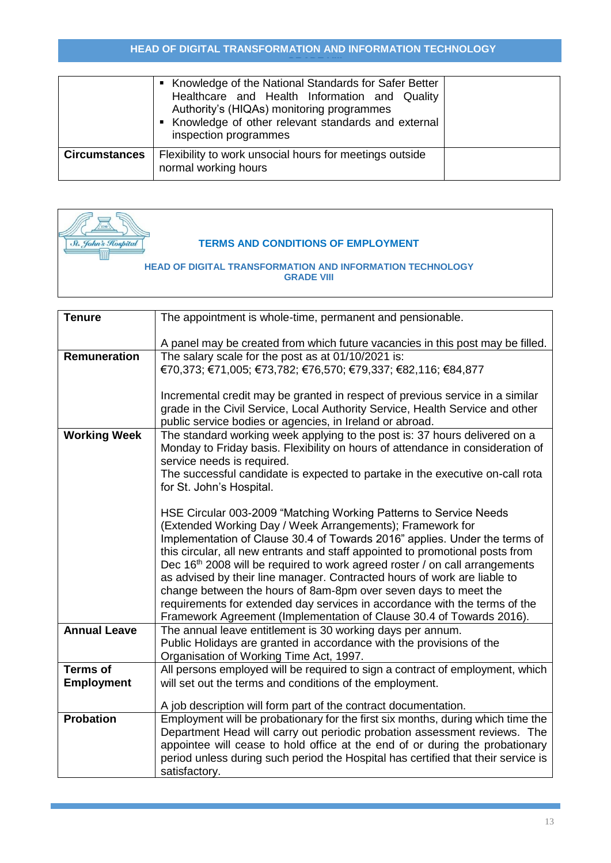|                      | • Knowledge of the National Standards for Safer Better<br>Healthcare and Health Information and Quality<br>Authority's (HIQAs) monitoring programmes<br>Knowledge of other relevant standards and external<br>inspection programmes |  |
|----------------------|-------------------------------------------------------------------------------------------------------------------------------------------------------------------------------------------------------------------------------------|--|
| <b>Circumstances</b> | Flexibility to work unsocial hours for meetings outside<br>normal working hours                                                                                                                                                     |  |



## **TERMS AND CONDITIONS OF EMPLOYMENT**

| <b>Tenure</b>       | The appointment is whole-time, permanent and pensionable.                               |
|---------------------|-----------------------------------------------------------------------------------------|
|                     | A panel may be created from which future vacancies in this post may be filled.          |
| Remuneration        | The salary scale for the post as at 01/10/2021 is:                                      |
|                     | €70,373; €71,005; €73,782; €76,570; €79,337; €82,116; €84,877                           |
|                     |                                                                                         |
|                     | Incremental credit may be granted in respect of previous service in a similar           |
|                     |                                                                                         |
|                     | grade in the Civil Service, Local Authority Service, Health Service and other           |
|                     | public service bodies or agencies, in Ireland or abroad.                                |
| <b>Working Week</b> | The standard working week applying to the post is: 37 hours delivered on a              |
|                     | Monday to Friday basis. Flexibility on hours of attendance in consideration of          |
|                     | service needs is required.                                                              |
|                     | The successful candidate is expected to partake in the executive on-call rota           |
|                     | for St. John's Hospital.                                                                |
|                     |                                                                                         |
|                     | HSE Circular 003-2009 "Matching Working Patterns to Service Needs                       |
|                     | (Extended Working Day / Week Arrangements); Framework for                               |
|                     | Implementation of Clause 30.4 of Towards 2016" applies. Under the terms of              |
|                     | this circular, all new entrants and staff appointed to promotional posts from           |
|                     |                                                                                         |
|                     | Dec 16 <sup>th</sup> 2008 will be required to work agreed roster / on call arrangements |
|                     | as advised by their line manager. Contracted hours of work are liable to                |
|                     | change between the hours of 8am-8pm over seven days to meet the                         |
|                     | requirements for extended day services in accordance with the terms of the              |
|                     | Framework Agreement (Implementation of Clause 30.4 of Towards 2016).                    |
| <b>Annual Leave</b> | The annual leave entitlement is 30 working days per annum.                              |
|                     | Public Holidays are granted in accordance with the provisions of the                    |
|                     | Organisation of Working Time Act, 1997.                                                 |
| <b>Terms of</b>     | All persons employed will be required to sign a contract of employment, which           |
| <b>Employment</b>   | will set out the terms and conditions of the employment.                                |
|                     |                                                                                         |
|                     | A job description will form part of the contract documentation.                         |
| <b>Probation</b>    | Employment will be probationary for the first six months, during which time the         |
|                     | Department Head will carry out periodic probation assessment reviews. The               |
|                     | appointee will cease to hold office at the end of or during the probationary            |
|                     | period unless during such period the Hospital has certified that their service is       |
|                     | satisfactory.                                                                           |
|                     |                                                                                         |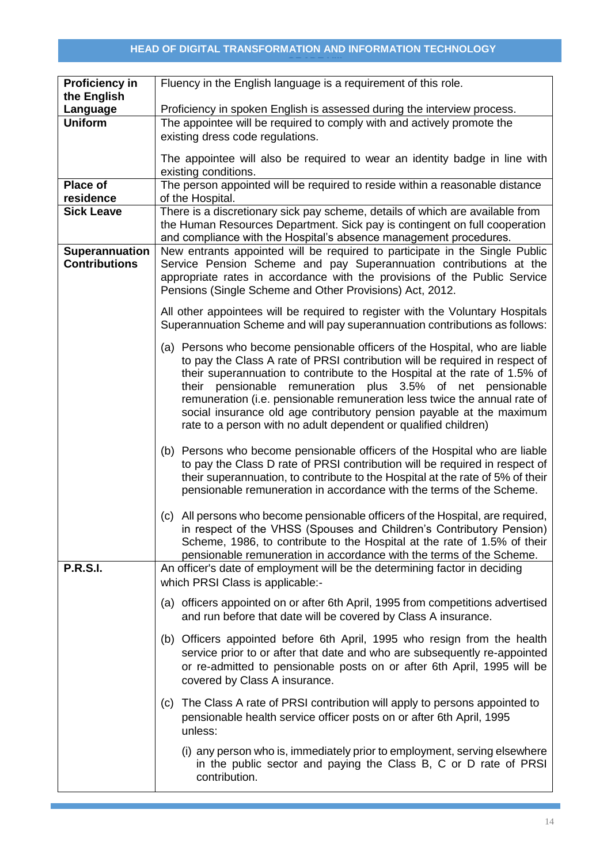| <b>Proficiency in</b>   | Fluency in the English language is a requirement of this role.                                                                                                |  |
|-------------------------|---------------------------------------------------------------------------------------------------------------------------------------------------------------|--|
| the English<br>Language | Proficiency in spoken English is assessed during the interview process.                                                                                       |  |
| <b>Uniform</b>          | The appointee will be required to comply with and actively promote the                                                                                        |  |
|                         | existing dress code regulations.                                                                                                                              |  |
|                         |                                                                                                                                                               |  |
|                         | The appointee will also be required to wear an identity badge in line with<br>existing conditions.                                                            |  |
| Place of                | The person appointed will be required to reside within a reasonable distance                                                                                  |  |
| residence               | of the Hospital.                                                                                                                                              |  |
| <b>Sick Leave</b>       | There is a discretionary sick pay scheme, details of which are available from                                                                                 |  |
|                         | the Human Resources Department. Sick pay is contingent on full cooperation                                                                                    |  |
| Superannuation          | and compliance with the Hospital's absence management procedures.<br>New entrants appointed will be required to participate in the Single Public              |  |
| <b>Contributions</b>    | Service Pension Scheme and pay Superannuation contributions at the                                                                                            |  |
|                         | appropriate rates in accordance with the provisions of the Public Service                                                                                     |  |
|                         | Pensions (Single Scheme and Other Provisions) Act, 2012.                                                                                                      |  |
|                         | All other appointees will be required to register with the Voluntary Hospitals                                                                                |  |
|                         | Superannuation Scheme and will pay superannuation contributions as follows:                                                                                   |  |
|                         | (a) Persons who become pensionable officers of the Hospital, who are liable                                                                                   |  |
|                         | to pay the Class A rate of PRSI contribution will be required in respect of                                                                                   |  |
|                         | their superannuation to contribute to the Hospital at the rate of 1.5% of                                                                                     |  |
|                         | pensionable remuneration plus 3.5% of net pensionable<br>their                                                                                                |  |
|                         | remuneration (i.e. pensionable remuneration less twice the annual rate of<br>social insurance old age contributory pension payable at the maximum             |  |
|                         | rate to a person with no adult dependent or qualified children)                                                                                               |  |
|                         |                                                                                                                                                               |  |
|                         | (b) Persons who become pensionable officers of the Hospital who are liable                                                                                    |  |
|                         | to pay the Class D rate of PRSI contribution will be required in respect of<br>their superannuation, to contribute to the Hospital at the rate of 5% of their |  |
|                         | pensionable remuneration in accordance with the terms of the Scheme.                                                                                          |  |
|                         |                                                                                                                                                               |  |
|                         | (c) All persons who become pensionable officers of the Hospital, are required,                                                                                |  |
|                         | in respect of the VHSS (Spouses and Children's Contributory Pension)<br>Scheme, 1986, to contribute to the Hospital at the rate of 1.5% of their              |  |
|                         | pensionable remuneration in accordance with the terms of the Scheme.                                                                                          |  |
| <b>P.R.S.I.</b>         | An officer's date of employment will be the determining factor in deciding                                                                                    |  |
|                         | which PRSI Class is applicable:-                                                                                                                              |  |
|                         | (a) officers appointed on or after 6th April, 1995 from competitions advertised                                                                               |  |
|                         | and run before that date will be covered by Class A insurance.                                                                                                |  |
|                         | (b) Officers appointed before 6th April, 1995 who resign from the health                                                                                      |  |
|                         | service prior to or after that date and who are subsequently re-appointed                                                                                     |  |
|                         | or re-admitted to pensionable posts on or after 6th April, 1995 will be                                                                                       |  |
|                         | covered by Class A insurance.                                                                                                                                 |  |
|                         | (c) The Class A rate of PRSI contribution will apply to persons appointed to                                                                                  |  |
|                         | pensionable health service officer posts on or after 6th April, 1995                                                                                          |  |
|                         | unless:                                                                                                                                                       |  |
|                         | (i) any person who is, immediately prior to employment, serving elsewhere                                                                                     |  |
|                         | in the public sector and paying the Class B, C or D rate of PRSI                                                                                              |  |
|                         | contribution.                                                                                                                                                 |  |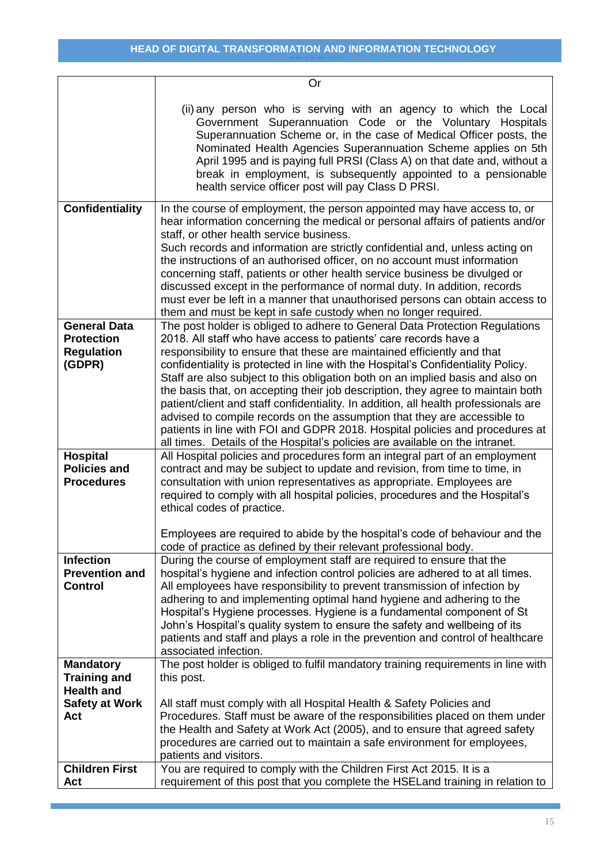|                                                                         | Or                                                                                                                                                                                                                                                                                                                                                                                                                                                                                                                                                                                                                                                                                                                                                                                                                     |
|-------------------------------------------------------------------------|------------------------------------------------------------------------------------------------------------------------------------------------------------------------------------------------------------------------------------------------------------------------------------------------------------------------------------------------------------------------------------------------------------------------------------------------------------------------------------------------------------------------------------------------------------------------------------------------------------------------------------------------------------------------------------------------------------------------------------------------------------------------------------------------------------------------|
|                                                                         | (ii) any person who is serving with an agency to which the Local<br>Government Superannuation Code or the Voluntary Hospitals<br>Superannuation Scheme or, in the case of Medical Officer posts, the<br>Nominated Health Agencies Superannuation Scheme applies on 5th<br>April 1995 and is paying full PRSI (Class A) on that date and, without a<br>break in employment, is subsequently appointed to a pensionable<br>health service officer post will pay Class D PRSI.                                                                                                                                                                                                                                                                                                                                            |
| <b>Confidentiality</b>                                                  | In the course of employment, the person appointed may have access to, or<br>hear information concerning the medical or personal affairs of patients and/or<br>staff, or other health service business.<br>Such records and information are strictly confidential and, unless acting on<br>the instructions of an authorised officer, on no account must information<br>concerning staff, patients or other health service business be divulged or<br>discussed except in the performance of normal duty. In addition, records<br>must ever be left in a manner that unauthorised persons can obtain access to<br>them and must be kept in safe custody when no longer required.                                                                                                                                        |
| <b>General Data</b><br><b>Protection</b><br><b>Regulation</b><br>(GDPR) | The post holder is obliged to adhere to General Data Protection Regulations<br>2018. All staff who have access to patients' care records have a<br>responsibility to ensure that these are maintained efficiently and that<br>confidentiality is protected in line with the Hospital's Confidentiality Policy.<br>Staff are also subject to this obligation both on an implied basis and also on<br>the basis that, on accepting their job description, they agree to maintain both<br>patient/client and staff confidentiality. In addition, all health professionals are<br>advised to compile records on the assumption that they are accessible to<br>patients in line with FOI and GDPR 2018. Hospital policies and procedures at<br>all times. Details of the Hospital's policies are available on the intranet. |
| <b>Hospital</b><br><b>Policies and</b><br><b>Procedures</b>             | All Hospital policies and procedures form an integral part of an employment<br>contract and may be subject to update and revision, from time to time, in<br>consultation with union representatives as appropriate. Employees are<br>required to comply with all hospital policies, procedures and the Hospital's<br>ethical codes of practice.                                                                                                                                                                                                                                                                                                                                                                                                                                                                        |
|                                                                         | Employees are required to abide by the hospital's code of behaviour and the<br>code of practice as defined by their relevant professional body.                                                                                                                                                                                                                                                                                                                                                                                                                                                                                                                                                                                                                                                                        |
| <b>Infection</b><br><b>Prevention and</b><br><b>Control</b>             | During the course of employment staff are required to ensure that the<br>hospital's hygiene and infection control policies are adhered to at all times.<br>All employees have responsibility to prevent transmission of infection by<br>adhering to and implementing optimal hand hygiene and adhering to the<br>Hospital's Hygiene processes. Hygiene is a fundamental component of St<br>John's Hospital's quality system to ensure the safety and wellbeing of its<br>patients and staff and plays a role in the prevention and control of healthcare<br>associated infection.                                                                                                                                                                                                                                      |
| <b>Mandatory</b><br><b>Training and</b>                                 | The post holder is obliged to fulfil mandatory training requirements in line with<br>this post.                                                                                                                                                                                                                                                                                                                                                                                                                                                                                                                                                                                                                                                                                                                        |
| <b>Health and</b><br><b>Safety at Work</b><br>Act                       | All staff must comply with all Hospital Health & Safety Policies and<br>Procedures. Staff must be aware of the responsibilities placed on them under<br>the Health and Safety at Work Act (2005), and to ensure that agreed safety<br>procedures are carried out to maintain a safe environment for employees,<br>patients and visitors.                                                                                                                                                                                                                                                                                                                                                                                                                                                                               |
| <b>Children First</b><br>Act                                            | You are required to comply with the Children First Act 2015. It is a<br>requirement of this post that you complete the HSELand training in relation to                                                                                                                                                                                                                                                                                                                                                                                                                                                                                                                                                                                                                                                                 |